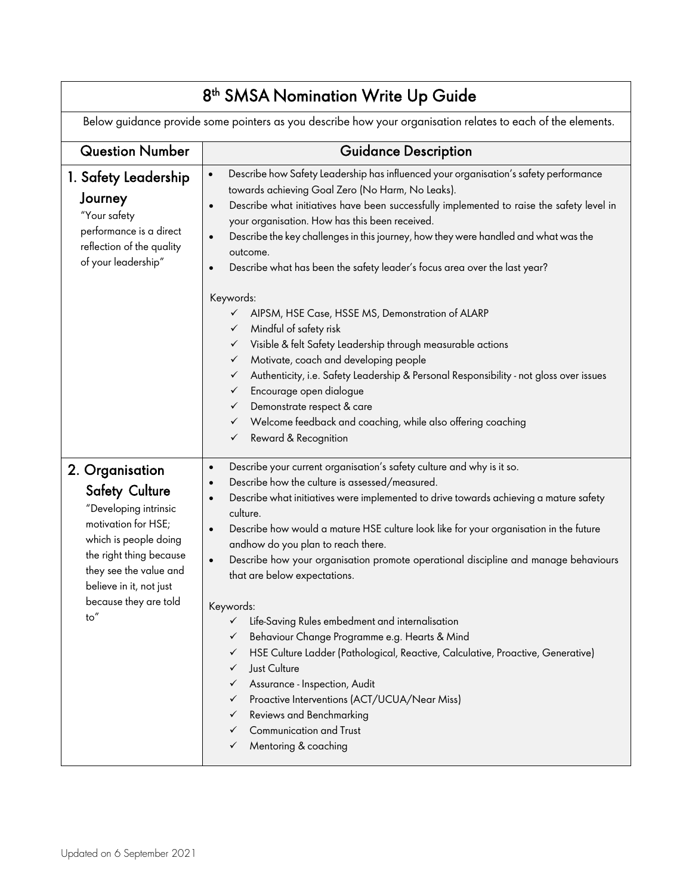| 8 <sup>th</sup> SMSA Nomination Write Up Guide                                                                                                                                                                                     |                                                                                                                                                                                                                                                                                                                                                                                                                                                                                                                                                                                                                                                                                                                                                                                                                                                                                                                                                                                                                                  |  |  |  |
|------------------------------------------------------------------------------------------------------------------------------------------------------------------------------------------------------------------------------------|----------------------------------------------------------------------------------------------------------------------------------------------------------------------------------------------------------------------------------------------------------------------------------------------------------------------------------------------------------------------------------------------------------------------------------------------------------------------------------------------------------------------------------------------------------------------------------------------------------------------------------------------------------------------------------------------------------------------------------------------------------------------------------------------------------------------------------------------------------------------------------------------------------------------------------------------------------------------------------------------------------------------------------|--|--|--|
| Below guidance provide some pointers as you describe how your organisation relates to each of the elements.                                                                                                                        |                                                                                                                                                                                                                                                                                                                                                                                                                                                                                                                                                                                                                                                                                                                                                                                                                                                                                                                                                                                                                                  |  |  |  |
| <b>Question Number</b>                                                                                                                                                                                                             | <b>Guidance Description</b>                                                                                                                                                                                                                                                                                                                                                                                                                                                                                                                                                                                                                                                                                                                                                                                                                                                                                                                                                                                                      |  |  |  |
| 1. Safety Leadership<br>Journey<br>"Your safety<br>performance is a direct<br>reflection of the quality<br>of your leadership"                                                                                                     | Describe how Safety Leadership has influenced your organisation's safety performance<br>$\bullet$<br>towards achieving Goal Zero (No Harm, No Leaks).<br>Describe what initiatives have been successfully implemented to raise the safety level in<br>$\bullet$<br>your organisation. How has this been received.<br>Describe the key challenges in this journey, how they were handled and what was the<br>$\bullet$<br>outcome.<br>Describe what has been the safety leader's focus area over the last year?<br>$\bullet$<br>Keywords:<br>AIPSM, HSE Case, HSSE MS, Demonstration of ALARP<br>✓<br>Mindful of safety risk<br>✓<br>Visible & felt Safety Leadership through measurable actions<br>✓<br>Motivate, coach and developing people<br>✓<br>Authenticity, i.e. Safety Leadership & Personal Responsibility - not gloss over issues<br>✓<br>Encourage open dialogue<br>✓<br>Demonstrate respect & care<br>✓<br>Welcome feedback and coaching, while also offering coaching<br>$\checkmark$<br>Reward & Recognition<br>✓ |  |  |  |
| 2. Organisation<br><b>Safety Culture</b><br>"Developing intrinsic<br>motivation for HSE;<br>which is people doing<br>the right thing because<br>they see the value and<br>believe in it, not just<br>because they are told<br>to'' | Describe your current organisation's safety culture and why is it so.<br>$\bullet$<br>Describe how the culture is assessed/measured.<br>$\bullet$<br>Describe what initiatives were implemented to drive towards achieving a mature safety<br>$\bullet$<br>culture.<br>Describe how would a mature HSE culture look like for your organisation in the future<br>$\bullet$<br>andhow do you plan to reach there.<br>Describe how your organisation promote operational discipline and manage behaviours<br>$\bullet$<br>that are below expectations.<br>Keywords:<br>Life-Saving Rules embedment and internalisation<br>✓<br>Behaviour Change Programme e.g. Hearts & Mind<br>✓<br>HSE Culture Ladder (Pathological, Reactive, Calculative, Proactive, Generative)<br>✓<br>Just Culture<br>✓<br>Assurance - Inspection, Audit<br>✓<br>Proactive Interventions (ACT/UCUA/Near Miss)<br>✓<br>Reviews and Benchmarking<br>✓<br>Communication and Trust<br>✓<br>Mentoring & coaching<br>✓                                             |  |  |  |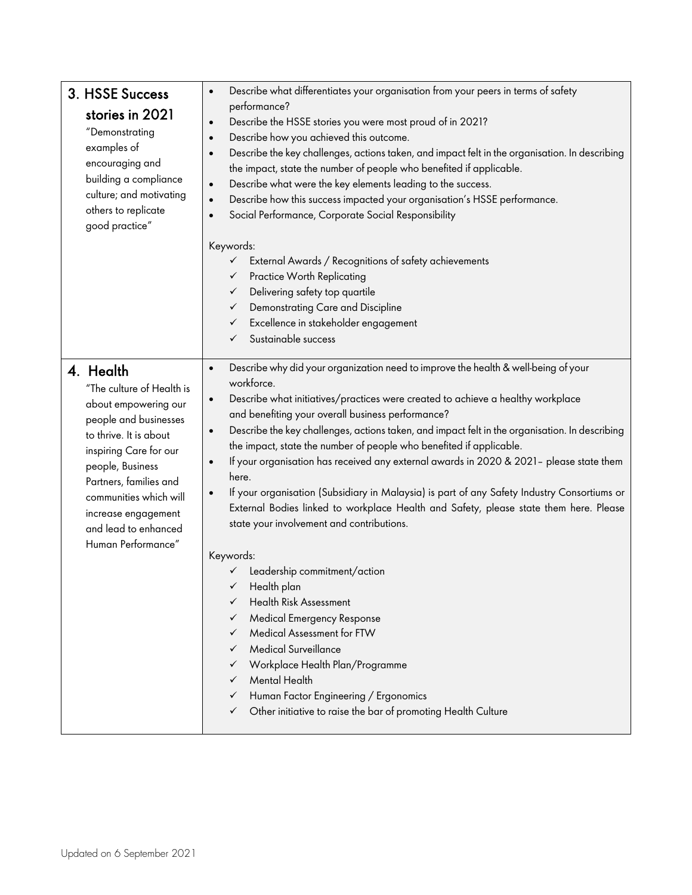| 3. HSSE Success<br>stories in 2021<br>"Demonstrating<br>examples of<br>encouraging and<br>building a compliance<br>culture; and motivating<br>others to replicate<br>good practice"                                                                                                      | Describe what differentiates your organisation from your peers in terms of safety<br>performance?<br>Describe the HSSE stories you were most proud of in 2021?<br>Describe how you achieved this outcome.<br>Describe the key challenges, actions taken, and impact felt in the organisation. In describing<br>the impact, state the number of people who benefited if applicable.<br>Describe what were the key elements leading to the success.<br>Describe how this success impacted your organisation's HSSE performance.<br>Social Performance, Corporate Social Responsibility                                                                                                                                                                                                                                                                                                                                                                                                                                                                                                                                                                                                                                          |  |  |
|------------------------------------------------------------------------------------------------------------------------------------------------------------------------------------------------------------------------------------------------------------------------------------------|-------------------------------------------------------------------------------------------------------------------------------------------------------------------------------------------------------------------------------------------------------------------------------------------------------------------------------------------------------------------------------------------------------------------------------------------------------------------------------------------------------------------------------------------------------------------------------------------------------------------------------------------------------------------------------------------------------------------------------------------------------------------------------------------------------------------------------------------------------------------------------------------------------------------------------------------------------------------------------------------------------------------------------------------------------------------------------------------------------------------------------------------------------------------------------------------------------------------------------|--|--|
|                                                                                                                                                                                                                                                                                          | Keywords:<br>External Awards / Recognitions of safety achievements<br>$\checkmark$<br>Practice Worth Replicating<br>$\checkmark$<br>Delivering safety top quartile<br>✓<br>Demonstrating Care and Discipline<br>✓<br>Excellence in stakeholder engagement<br>$\checkmark$<br>Sustainable success<br>✓                                                                                                                                                                                                                                                                                                                                                                                                                                                                                                                                                                                                                                                                                                                                                                                                                                                                                                                         |  |  |
| 4. Health<br>"The culture of Health is<br>about empowering our<br>people and businesses<br>to thrive. It is about<br>inspiring Care for our<br>people, Business<br>Partners, families and<br>communities which will<br>increase engagement<br>and lead to enhanced<br>Human Performance" | Describe why did your organization need to improve the health & well-being of your<br>$\bullet$<br>workforce.<br>Describe what initiatives/practices were created to achieve a healthy workplace<br>$\bullet$<br>and benefiting your overall business performance?<br>Describe the key challenges, actions taken, and impact felt in the organisation. In describing<br>$\bullet$<br>the impact, state the number of people who benefited if applicable.<br>If your organisation has received any external awards in 2020 & 2021- please state them<br>$\bullet$<br>here.<br>If your organisation (Subsidiary in Malaysia) is part of any Safety Industry Consortiums or<br>$\bullet$<br>External Bodies linked to workplace Health and Safety, please state them here. Please<br>state your involvement and contributions.<br>Keywords:<br>Leadership commitment/action<br>Health plan<br>Health Risk Assessment<br>✓<br><b>Medical Emergency Response</b><br>✓<br>Medical Assessment for FTW<br>✓<br>Medical Surveillance<br>$\checkmark$<br>Workplace Health Plan/Programme<br>✓<br>Mental Health<br>✓<br>Human Factor Engineering / Ergonomics<br>✓<br>Other initiative to raise the bar of promoting Health Culture<br>✓ |  |  |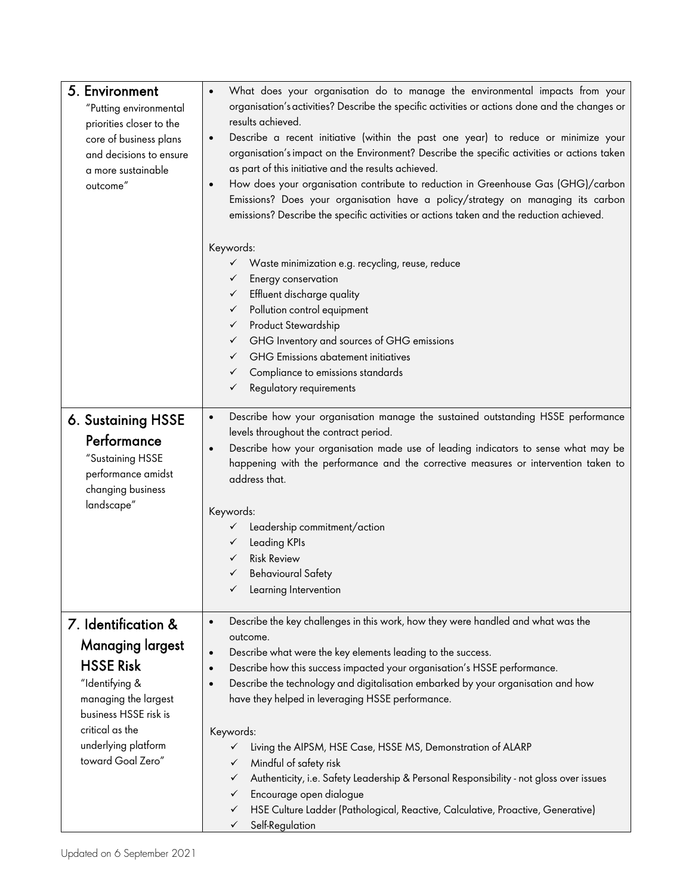| 5. Environment<br>"Putting environmental<br>priorities closer to the<br>core of business plans<br>and decisions to ensure<br>a more sustainable<br>outcome"                     | What does your organisation do to manage the environmental impacts from your<br>organisation's activities? Describe the specific activities or actions done and the changes or<br>results achieved.<br>Describe a recent initiative (within the past one year) to reduce or minimize your<br>$\bullet$<br>organisation's impact on the Environment? Describe the specific activities or actions taken<br>as part of this initiative and the results achieved.<br>How does your organisation contribute to reduction in Greenhouse Gas (GHG)/carbon<br>$\bullet$<br>Emissions? Does your organisation have a policy/strategy on managing its carbon<br>emissions? Describe the specific activities or actions taken and the reduction achieved. |  |  |
|---------------------------------------------------------------------------------------------------------------------------------------------------------------------------------|------------------------------------------------------------------------------------------------------------------------------------------------------------------------------------------------------------------------------------------------------------------------------------------------------------------------------------------------------------------------------------------------------------------------------------------------------------------------------------------------------------------------------------------------------------------------------------------------------------------------------------------------------------------------------------------------------------------------------------------------|--|--|
|                                                                                                                                                                                 | Keywords:<br>Waste minimization e.g. recycling, reuse, reduce<br>$\checkmark$<br>Energy conservation<br>✓<br>Effluent discharge quality<br>✓<br>Pollution control equipment<br>$\checkmark$<br>Product Stewardship<br>$\checkmark$<br>GHG Inventory and sources of GHG emissions<br>$\checkmark$<br><b>GHG</b> Emissions abatement initiatives<br>$\checkmark$<br>Compliance to emissions standards<br>$\checkmark$<br>Regulatory requirements<br>$\checkmark$                                                                                                                                                                                                                                                                                 |  |  |
| 6. Sustaining HSSE<br>Performance<br>"Sustaining HSSE<br>performance amidst<br>changing business                                                                                | Describe how your organisation manage the sustained outstanding HSSE performance<br>$\bullet$<br>levels throughout the contract period.<br>Describe how your organisation made use of leading indicators to sense what may be<br>happening with the performance and the corrective measures or intervention taken to<br>address that.                                                                                                                                                                                                                                                                                                                                                                                                          |  |  |
| landscape"                                                                                                                                                                      | Keywords:<br>Leadership commitment/action<br>$\checkmark$<br>Leading KPIs<br>$\checkmark$<br><b>Risk Review</b><br>✓<br><b>Behavioural Safety</b><br>✓<br>Learning Intervention                                                                                                                                                                                                                                                                                                                                                                                                                                                                                                                                                                |  |  |
| 7. Identification &<br><b>Managing largest</b><br><b>HSSE Risk</b><br>"Identifying &<br>managing the largest<br>business HSSE risk is<br>critical as the<br>underlying platform | Describe the key challenges in this work, how they were handled and what was the<br>$\bullet$<br>outcome.<br>Describe what were the key elements leading to the success.<br>$\bullet$<br>Describe how this success impacted your organisation's HSSE performance.<br>$\bullet$<br>Describe the technology and digitalisation embarked by your organisation and how<br>$\bullet$<br>have they helped in leveraging HSSE performance.<br>Keywords:<br>Living the AIPSM, HSE Case, HSSE MS, Demonstration of ALARP<br>✓                                                                                                                                                                                                                           |  |  |
| toward Goal Zero"                                                                                                                                                               | Mindful of safety risk<br>✓<br>Authenticity, i.e. Safety Leadership & Personal Responsibility - not gloss over issues<br>✓<br>Encourage open dialogue<br>✓<br>HSE Culture Ladder (Pathological, Reactive, Calculative, Proactive, Generative)<br>✓<br>Self-Regulation<br>✓                                                                                                                                                                                                                                                                                                                                                                                                                                                                     |  |  |